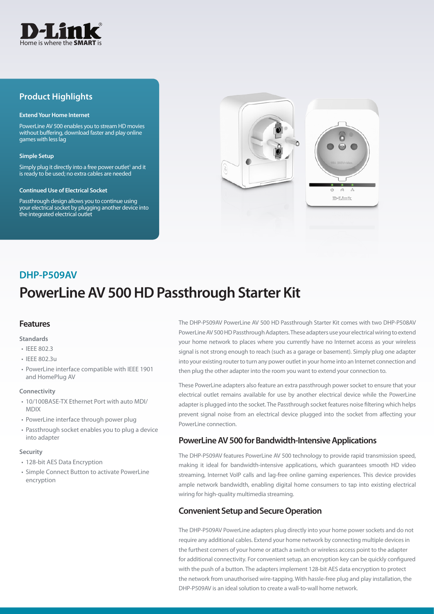

## **Product Highlights**

#### **Extend Your Home Internet**

PowerLine AV 500 enables you to stream HD movies without buffering, download faster and play online games with less lag

#### **Simple Setup**

Simply plug it directly into a free power outlet<sup>1</sup> and it is ready to be used; no extra cables are needed

#### **Continued Use of Electrical Socket**

Passthrough design allows you to continue using your electrical socket by plugging another device into the integrated electrical outlet



## **DHP-P509AV**

# **PowerLine AV 500 HD Passthrough Starter Kit**

#### **Features**

#### **Standards**

- IEEE 802.3
- IEEE 802.3u
- PowerLine interface compatible with IEEE 1901 and HomePlug AV

#### **Connectivity**

- 10/100BASE-TX Ethernet Port with auto MDI/ MDIX
- PowerLine interface through power plug
- Passthrough socket enables you to plug a device into adapter

#### **Security**

- 128-bit AES Data Encryption
- Simple Connect Button to activate PowerLine encryption

The DHP-P509AV PowerLine AV 500 HD Passthrough Starter Kit comes with two DHP-P508AV PowerLine AV 500 HD Passthrough Adapters. These adapters use your electrical wiring to extend your home network to places where you currently have no Internet access as your wireless signal is not strong enough to reach (such as a garage or basement). Simply plug one adapter into your existing router to turn any power outlet in your home into an Internet connection and then plug the other adapter into the room you want to extend your connection to.

These PowerLine adapters also feature an extra passthrough power socket to ensure that your electrical outlet remains available for use by another electrical device while the PowerLine adapter is plugged into the socket. The Passthrough socket features noise filtering which helps prevent signal noise from an electrical device plugged into the socket from affecting your PowerLine connection.

### **PowerLine AV 500 for Bandwidth-Intensive Applications**

The DHP-P509AV features PowerLine AV 500 technology to provide rapid transmission speed, making it ideal for bandwidth-intensive applications, which guarantees smooth HD video streaming, Internet VoIP calls and lag-free online gaming experiences. This device provides ample network bandwidth, enabling digital home consumers to tap into existing electrical wiring for high-quality multimedia streaming.

## **Convenient Setup and Secure Operation**

The DHP-P509AV PowerLine adapters plug directly into your home power sockets and do not require any additional cables. Extend your home network by connecting multiple devices in the furthest corners of your home or attach a switch or wireless access point to the adapter for additional connectivity. For convenient setup, an encryption key can be quickly configured with the push of a button. The adapters implement 128-bit AES data encryption to protect the network from unauthorised wire-tapping. With hassle-free plug and play installation, the DHP-P509AV is an ideal solution to create a wall-to-wall home network.